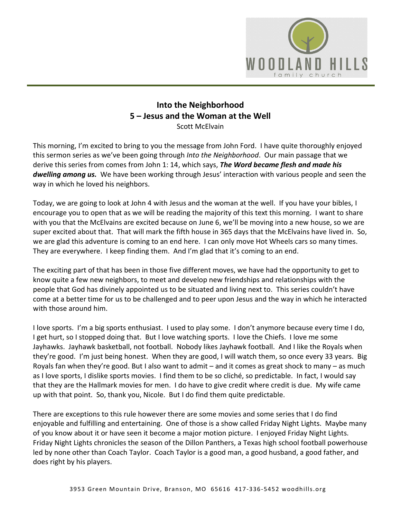

## **Into the Neighborhood 5 – Jesus and the Woman at the Well** Scott McElvain

This morning, I'm excited to bring to you the message from John Ford. I have quite thoroughly enjoyed this sermon series as we've been going through *Into the Neighborhood*. Our main passage that we derive this series from comes from John 1: 14, which says, *The Word became flesh and made his dwelling among us.* We have been working through Jesus' interaction with various people and seen the way in which he loved his neighbors.

Today, we are going to look at John 4 with Jesus and the woman at the well. If you have your bibles, I encourage you to open that as we will be reading the majority of this text this morning. I want to share with you that the McElvains are excited because on June 6, we'll be moving into a new house, so we are super excited about that. That will mark the fifth house in 365 days that the McElvains have lived in. So, we are glad this adventure is coming to an end here. I can only move Hot Wheels cars so many times. They are everywhere. I keep finding them. And I'm glad that it's coming to an end.

The exciting part of that has been in those five different moves, we have had the opportunity to get to know quite a few new neighbors, to meet and develop new friendships and relationships with the people that God has divinely appointed us to be situated and living next to. This series couldn't have come at a better time for us to be challenged and to peer upon Jesus and the way in which he interacted with those around him.

I love sports. I'm a big sports enthusiast. I used to play some. I don't anymore because every time I do, I get hurt, so I stopped doing that. But I love watching sports. I love the Chiefs. I love me some Jayhawks. Jayhawk basketball, not football. Nobody likes Jayhawk football. And I like the Royals when they're good. I'm just being honest. When they are good, I will watch them, so once every 33 years. Big Royals fan when they're good. But I also want to admit – and it comes as great shock to many – as much as I love sports, I dislike sports movies. I find them to be so cliché, so predictable. In fact, I would say that they are the Hallmark movies for men. I do have to give credit where credit is due. My wife came up with that point. So, thank you, Nicole. But I do find them quite predictable.

There are exceptions to this rule however there are some movies and some series that I do find enjoyable and fulfilling and entertaining. One of those is a show called Friday Night Lights. Maybe many of you know about it or have seen it become a major motion picture. I enjoyed Friday Night Lights. Friday Night Lights chronicles the season of the Dillon Panthers, a Texas high school football powerhouse led by none other than Coach Taylor. Coach Taylor is a good man, a good husband, a good father, and does right by his players.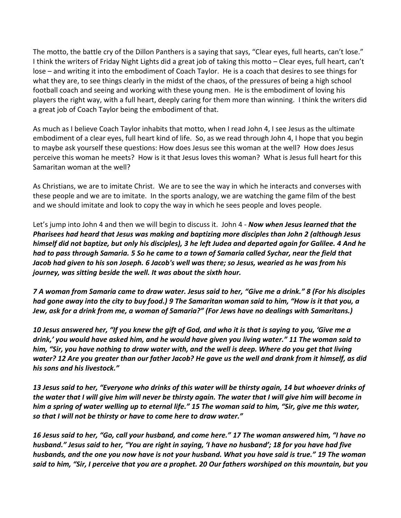The motto, the battle cry of the Dillon Panthers is a saying that says, "Clear eyes, full hearts, can't lose." I think the writers of Friday Night Lights did a great job of taking this motto – Clear eyes, full heart, can't lose – and writing it into the embodiment of Coach Taylor. He is a coach that desires to see things for what they are, to see things clearly in the midst of the chaos, of the pressures of being a high school football coach and seeing and working with these young men. He is the embodiment of loving his players the right way, with a full heart, deeply caring for them more than winning. I think the writers did a great job of Coach Taylor being the embodiment of that.

As much as I believe Coach Taylor inhabits that motto, when I read John 4, I see Jesus as the ultimate embodiment of a clear eyes, full heart kind of life. So, as we read through John 4, I hope that you begin to maybe ask yourself these questions: How does Jesus see this woman at the well? How does Jesus perceive this woman he meets? How is it that Jesus loves this woman? What is Jesus full heart for this Samaritan woman at the well?

As Christians, we are to imitate Christ. We are to see the way in which he interacts and converses with these people and we are to imitate. In the sports analogy, we are watching the game film of the best and we should imitate and look to copy the way in which he sees people and loves people.

Let's jump into John 4 and then we will begin to discuss it. John 4 - *Now when Jesus learned that the Pharisees had heard that Jesus was making and baptizing more disciples than John 2 (although Jesus himself did not baptize, but only his disciples), 3 he left Judea and departed again for Galilee. 4 And he had to pass through Samaria. 5 So he came to a town of Samaria called Sychar, near the field that Jacob had given to his son Joseph. 6 Jacob's well was there; so Jesus, wearied as he was from his journey, was sitting beside the well. It was about the sixth hour.*

*7 A woman from Samaria came to draw water. Jesus said to her, "Give me a drink." 8 (For his disciples had gone away into the city to buy food.) 9 The Samaritan woman said to him, "How is it that you, a Jew, ask for a drink from me, a woman of Samaria?" (For Jews have no dealings with Samaritans.)*

*10 Jesus answered her, "If you knew the gift of God, and who it is that is saying to you, 'Give me a drink,' you would have asked him, and he would have given you living water." 11 The woman said to him, "Sir, you have nothing to draw water with, and the well is deep. Where do you get that living water? 12 Are you greater than our father Jacob? He gave us the well and drank from it himself, as did his sons and his livestock."*

*13 Jesus said to her, "Everyone who drinks of this water will be thirsty again, 14 but whoever drinks of the water that I will give him will never be thirsty again. The water that I will give him will become in him a spring of water welling up to eternal life." 15 The woman said to him, "Sir, give me this water, so that I will not be thirsty or have to come here to draw water."*

*16 Jesus said to her, "Go, call your husband, and come here." 17 The woman answered him, "I have no husband." Jesus said to her, "You are right in saying, 'I have no husband'; 18 for you have had five husbands, and the one you now have is not your husband. What you have said is true." 19 The woman said to him, "Sir, I perceive that you are a prophet. 20 Our fathers worshiped on this mountain, but you*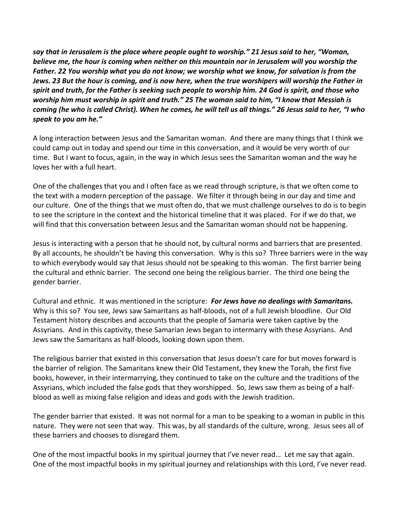*say that in Jerusalem is the place where people ought to worship." 21 Jesus said to her, "Woman, believe me, the hour is coming when neither on this mountain nor in Jerusalem will you worship the Father. 22 You worship what you do not know; we worship what we know, for salvation is from the Jews. 23 But the hour is coming, and is now here, when the true worshipers will worship the Father in spirit and truth, for the Father is seeking such people to worship him. 24 God is spirit, and those who worship him must worship in spirit and truth." 25 The woman said to him, "I know that Messiah is coming (he who is called Christ). When he comes, he will tell us all things." 26 Jesus said to her, "I who speak to you am he."*

A long interaction between Jesus and the Samaritan woman. And there are many things that I think we could camp out in today and spend our time in this conversation, and it would be very worth of our time. But I want to focus, again, in the way in which Jesus sees the Samaritan woman and the way he loves her with a full heart.

One of the challenges that you and I often face as we read through scripture, is that we often come to the text with a modern perception of the passage. We filter it through being in our day and time and our culture. One of the things that we must often do, that we must challenge ourselves to do is to begin to see the scripture in the context and the historical timeline that it was placed. For if we do that, we will find that this conversation between Jesus and the Samaritan woman should not be happening.

Jesus is interacting with a person that he should not, by cultural norms and barriers that are presented. By all accounts, he shouldn't be having this conversation. Why is this so? Three barriers were in the way to which everybody would say that Jesus should not be speaking to this woman. The first barrier being the cultural and ethnic barrier. The second one being the religious barrier. The third one being the gender barrier.

Cultural and ethnic. It was mentioned in the scripture: *For Jews have no dealings with Samaritans.* Why is this so? You see, Jews saw Samaritans as half-bloods, not of a full Jewish bloodline. Our Old Testament history describes and accounts that the people of Samaria were taken captive by the Assyrians. And in this captivity, these Samarian Jews began to intermarry with these Assyrians. And Jews saw the Samaritans as half-bloods, looking down upon them.

The religious barrier that existed in this conversation that Jesus doesn't care for but moves forward is the barrier of religion. The Samaritans knew their Old Testament, they knew the Torah, the first five books, however, in their intermarrying, they continued to take on the culture and the traditions of the Assyrians, which included the false gods that they worshipped. So, Jews saw them as being of a halfblood as well as mixing false religion and ideas and gods with the Jewish tradition.

The gender barrier that existed. It was not normal for a man to be speaking to a woman in public in this nature. They were not seen that way. This was, by all standards of the culture, wrong. Jesus sees all of these barriers and chooses to disregard them.

One of the most impactful books in my spiritual journey that I've never read… Let me say that again. One of the most impactful books in my spiritual journey and relationships with this Lord, I've never read.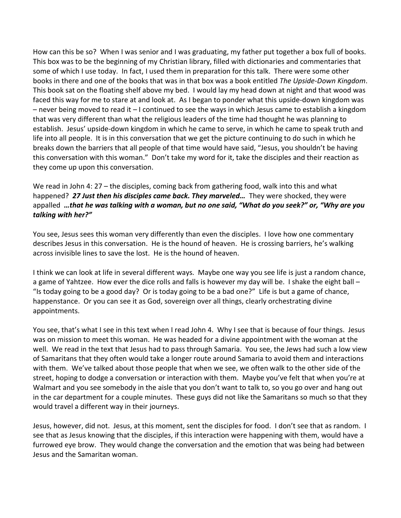How can this be so? When I was senior and I was graduating, my father put together a box full of books. This box was to be the beginning of my Christian library, filled with dictionaries and commentaries that some of which I use today. In fact, I used them in preparation for this talk. There were some other books in there and one of the books that was in that box was a book entitled *The Upside-Down Kingdom*. This book sat on the floating shelf above my bed. I would lay my head down at night and that wood was faced this way for me to stare at and look at. As I began to ponder what this upside-down kingdom was – never being moved to read it – I continued to see the ways in which Jesus came to establish a kingdom that was very different than what the religious leaders of the time had thought he was planning to establish. Jesus' upside-down kingdom in which he came to serve, in which he came to speak truth and life into all people. It is in this conversation that we get the picture continuing to do such in which he breaks down the barriers that all people of that time would have said, "Jesus, you shouldn't be having this conversation with this woman." Don't take my word for it, take the disciples and their reaction as they come up upon this conversation.

We read in John 4: 27 – the disciples, coming back from gathering food, walk into this and what happened? *27 Just then his disciples came back. They marveled…* They were shocked, they were appalled *…that he was talking with a woman, but no one said, "What do you seek?" or, "Why are you talking with her?"*

You see, Jesus sees this woman very differently than even the disciples. I love how one commentary describes Jesus in this conversation. He is the hound of heaven. He is crossing barriers, he's walking across invisible lines to save the lost. He is the hound of heaven.

I think we can look at life in several different ways. Maybe one way you see life is just a random chance, a game of Yahtzee. How ever the dice rolls and falls is however my day will be. I shake the eight ball – "Is today going to be a good day? Or is today going to be a bad one?" Life is but a game of chance, happenstance. Or you can see it as God, sovereign over all things, clearly orchestrating divine appointments.

You see, that's what I see in this text when I read John 4. Why I see that is because of four things. Jesus was on mission to meet this woman. He was headed for a divine appointment with the woman at the well. We read in the text that Jesus had to pass through Samaria. You see, the Jews had such a low view of Samaritans that they often would take a longer route around Samaria to avoid them and interactions with them. We've talked about those people that when we see, we often walk to the other side of the street, hoping to dodge a conversation or interaction with them. Maybe you've felt that when you're at Walmart and you see somebody in the aisle that you don't want to talk to, so you go over and hang out in the car department for a couple minutes. These guys did not like the Samaritans so much so that they would travel a different way in their journeys.

Jesus, however, did not. Jesus, at this moment, sent the disciples for food. I don't see that as random. I see that as Jesus knowing that the disciples, if this interaction were happening with them, would have a furrowed eye brow. They would change the conversation and the emotion that was being had between Jesus and the Samaritan woman.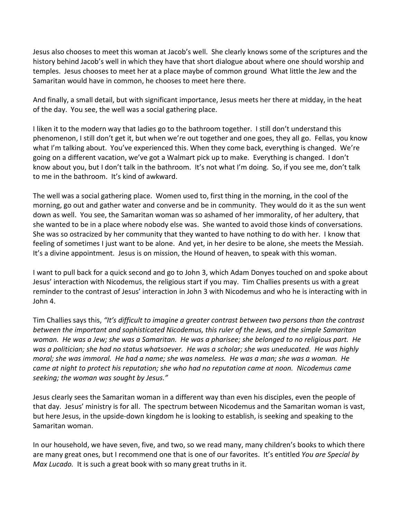Jesus also chooses to meet this woman at Jacob's well. She clearly knows some of the scriptures and the history behind Jacob's well in which they have that short dialogue about where one should worship and temples. Jesus chooses to meet her at a place maybe of common ground What little the Jew and the Samaritan would have in common, he chooses to meet here there.

And finally, a small detail, but with significant importance, Jesus meets her there at midday, in the heat of the day. You see, the well was a social gathering place.

I liken it to the modern way that ladies go to the bathroom together. I still don't understand this phenomenon, I still don't get it, but when we're out together and one goes, they all go. Fellas, you know what I'm talking about. You've experienced this. When they come back, everything is changed. We're going on a different vacation, we've got a Walmart pick up to make. Everything is changed. I don't know about you, but I don't talk in the bathroom. It's not what I'm doing. So, if you see me, don't talk to me in the bathroom. It's kind of awkward.

The well was a social gathering place. Women used to, first thing in the morning, in the cool of the morning, go out and gather water and converse and be in community. They would do it as the sun went down as well. You see, the Samaritan woman was so ashamed of her immorality, of her adultery, that she wanted to be in a place where nobody else was. She wanted to avoid those kinds of conversations. She was so ostracized by her community that they wanted to have nothing to do with her. I know that feeling of sometimes I just want to be alone. And yet, in her desire to be alone, she meets the Messiah. It's a divine appointment. Jesus is on mission, the Hound of heaven, to speak with this woman.

I want to pull back for a quick second and go to John 3, which Adam Donyes touched on and spoke about Jesus' interaction with Nicodemus, the religious start if you may. Tim Challies presents us with a great reminder to the contrast of Jesus' interaction in John 3 with Nicodemus and who he is interacting with in John 4.

Tim Challies says this, *"It's difficult to imagine a greater contrast between two persons than the contrast between the important and sophisticated Nicodemus, this ruler of the Jews, and the simple Samaritan woman. He was a Jew; she was a Samaritan. He was a pharisee; she belonged to no religious part. He was a politician; she had no status whatsoever. He was a scholar; she was uneducated. He was highly moral; she was immoral. He had a name; she was nameless. He was a man; she was a woman. He came at night to protect his reputation; she who had no reputation came at noon. Nicodemus came seeking; the woman was sought by Jesus."*

Jesus clearly sees the Samaritan woman in a different way than even his disciples, even the people of that day. Jesus' ministry is for all. The spectrum between Nicodemus and the Samaritan woman is vast, but here Jesus, in the upside-down kingdom he is looking to establish, is seeking and speaking to the Samaritan woman.

In our household, we have seven, five, and two, so we read many, many children's books to which there are many great ones, but I recommend one that is one of our favorites. It's entitled *You are Special by Max Lucado.* It is such a great book with so many great truths in it.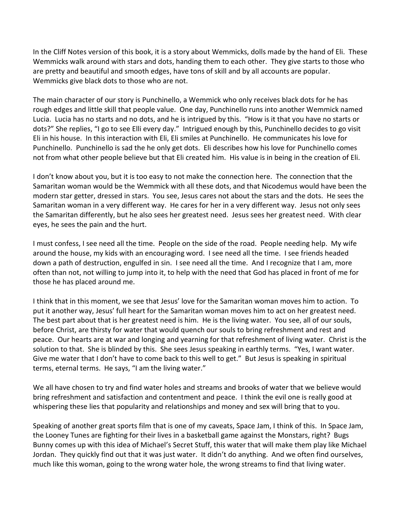In the Cliff Notes version of this book, it is a story about Wemmicks, dolls made by the hand of Eli. These Wemmicks walk around with stars and dots, handing them to each other. They give starts to those who are pretty and beautiful and smooth edges, have tons of skill and by all accounts are popular. Wemmicks give black dots to those who are not.

The main character of our story is Punchinello, a Wemmick who only receives black dots for he has rough edges and little skill that people value. One day, Punchinello runs into another Wemmick named Lucia. Lucia has no starts and no dots, and he is intrigued by this. "How is it that you have no starts or dots?" She replies, "I go to see Elli every day." Intrigued enough by this, Punchinello decides to go visit Eli in his house. In this interaction with Eli, Eli smiles at Punchinello. He communicates his love for Punchinello. Punchinello is sad the he only get dots. Eli describes how his love for Punchinello comes not from what other people believe but that Eli created him. His value is in being in the creation of Eli.

I don't know about you, but it is too easy to not make the connection here. The connection that the Samaritan woman would be the Wemmick with all these dots, and that Nicodemus would have been the modern star getter, dressed in stars. You see, Jesus cares not about the stars and the dots. He sees the Samaritan woman in a very different way. He cares for her in a very different way. Jesus not only sees the Samaritan differently, but he also sees her greatest need. Jesus sees her greatest need. With clear eyes, he sees the pain and the hurt.

I must confess, I see need all the time. People on the side of the road. People needing help. My wife around the house, my kids with an encouraging word. I see need all the time. I see friends headed down a path of destruction, engulfed in sin. I see need all the time. And I recognize that I am, more often than not, not willing to jump into it, to help with the need that God has placed in front of me for those he has placed around me.

I think that in this moment, we see that Jesus' love for the Samaritan woman moves him to action. To put it another way, Jesus' full heart for the Samaritan woman moves him to act on her greatest need. The best part about that is her greatest need is him. He is the living water. You see, all of our souls, before Christ, are thirsty for water that would quench our souls to bring refreshment and rest and peace. Our hearts are at war and longing and yearning for that refreshment of living water. Christ is the solution to that. She is blinded by this. She sees Jesus speaking in earthly terms. "Yes, I want water. Give me water that I don't have to come back to this well to get." But Jesus is speaking in spiritual terms, eternal terms. He says, "I am the living water."

We all have chosen to try and find water holes and streams and brooks of water that we believe would bring refreshment and satisfaction and contentment and peace. I think the evil one is really good at whispering these lies that popularity and relationships and money and sex will bring that to you.

Speaking of another great sports film that is one of my caveats, Space Jam, I think of this. In Space Jam, the Looney Tunes are fighting for their lives in a basketball game against the Monstars, right? Bugs Bunny comes up with this idea of Michael's Secret Stuff, this water that will make them play like Michael Jordan. They quickly find out that it was just water. It didn't do anything. And we often find ourselves, much like this woman, going to the wrong water hole, the wrong streams to find that living water.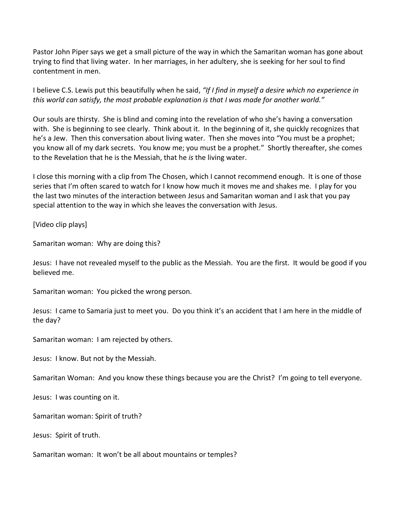Pastor John Piper says we get a small picture of the way in which the Samaritan woman has gone about trying to find that living water. In her marriages, in her adultery, she is seeking for her soul to find contentment in men.

I believe C.S. Lewis put this beautifully when he said, *"If I find in myself a desire which no experience in this world can satisfy, the most probable explanation is that I was made for another world."*

Our souls are thirsty. She is blind and coming into the revelation of who she's having a conversation with. She is beginning to see clearly. Think about it. In the beginning of it, she quickly recognizes that he's a Jew. Then this conversation about living water. Then she moves into "You must be a prophet; you know all of my dark secrets. You know me; you must be a prophet." Shortly thereafter, she comes to the Revelation that he is the Messiah, that he *is* the living water.

I close this morning with a clip from The Chosen, which I cannot recommend enough. It is one of those series that I'm often scared to watch for I know how much it moves me and shakes me. I play for you the last two minutes of the interaction between Jesus and Samaritan woman and I ask that you pay special attention to the way in which she leaves the conversation with Jesus.

[Video clip plays]

Samaritan woman: Why are doing this?

Jesus: I have not revealed myself to the public as the Messiah. You are the first. It would be good if you believed me.

Samaritan woman: You picked the wrong person.

Jesus: I came to Samaria just to meet you. Do you think it's an accident that I am here in the middle of the day?

Samaritan woman: I am rejected by others.

Jesus: I know. But not by the Messiah.

Samaritan Woman: And you know these things because you are the Christ? I'm going to tell everyone.

Jesus: I was counting on it.

Samaritan woman: Spirit of truth?

Jesus: Spirit of truth.

Samaritan woman: It won't be all about mountains or temples?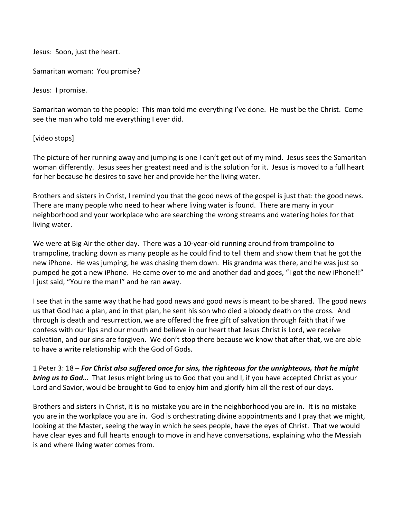Jesus: Soon, just the heart.

Samaritan woman: You promise?

Jesus: I promise.

Samaritan woman to the people: This man told me everything I've done. He must be the Christ. Come see the man who told me everything I ever did.

## [video stops]

The picture of her running away and jumping is one I can't get out of my mind. Jesus sees the Samaritan woman differently. Jesus sees her greatest need and is the solution for it. Jesus is moved to a full heart for her because he desires to save her and provide her the living water.

Brothers and sisters in Christ, I remind you that the good news of the gospel is just that: the good news. There are many people who need to hear where living water is found. There are many in your neighborhood and your workplace who are searching the wrong streams and watering holes for that living water.

We were at Big Air the other day. There was a 10-year-old running around from trampoline to trampoline, tracking down as many people as he could find to tell them and show them that he got the new iPhone. He was jumping, he was chasing them down. His grandma was there, and he was just so pumped he got a new iPhone. He came over to me and another dad and goes, "I got the new iPhone!!" I just said, "You're the man!" and he ran away.

I see that in the same way that he had good news and good news is meant to be shared. The good news us that God had a plan, and in that plan, he sent his son who died a bloody death on the cross. And through is death and resurrection, we are offered the free gift of salvation through faith that if we confess with our lips and our mouth and believe in our heart that Jesus Christ is Lord, we receive salvation, and our sins are forgiven. We don't stop there because we know that after that, we are able to have a write relationship with the God of Gods.

1 Peter 3: 18 – *For Christ also suffered once for sins, the righteous for the unrighteous, that he might bring us to God…* That Jesus might bring us to God that you and I, if you have accepted Christ as your Lord and Savior, would be brought to God to enjoy him and glorify him all the rest of our days.

Brothers and sisters in Christ, it is no mistake you are in the neighborhood you are in. It is no mistake you are in the workplace you are in. God is orchestrating divine appointments and I pray that we might, looking at the Master, seeing the way in which he sees people, have the eyes of Christ. That we would have clear eyes and full hearts enough to move in and have conversations, explaining who the Messiah is and where living water comes from.